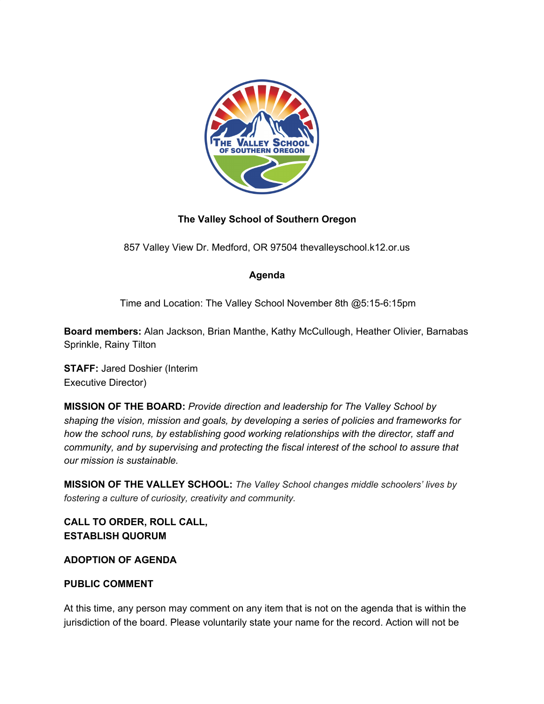

## **The Valley School of Southern Oregon**

857 Valley View Dr. Medford, OR 97504 thevalleyschool.k12.or.us

### **Agenda**

Time and Location: The Valley School November 8th @5:15-6:15pm

**Board members:** Alan Jackson, Brian Manthe, Kathy McCullough, Heather Olivier, Barnabas Sprinkle, Rainy Tilton

**STAFF:** Jared Doshier (Interim Executive Director)

**MISSION OF THE BOARD:** *Provide direction and leadership for The Valley School by shaping the vision, mission and goals, by developing a series of policies and frameworks for how the school runs, by establishing good working relationships with the director, staff and community, and by supervising and protecting the fiscal interest of the school to assure that our mission is sustainable.*

**MISSION OF THE VALLEY SCHOOL:** *The Valley School changes middle schoolers' lives by fostering a culture of curiosity, creativity and community.*

**CALL TO ORDER, ROLL CALL, ESTABLISH QUORUM**

### **ADOPTION OF AGENDA**

### **PUBLIC COMMENT**

At this time, any person may comment on any item that is not on the agenda that is within the jurisdiction of the board. Please voluntarily state your name for the record. Action will not be